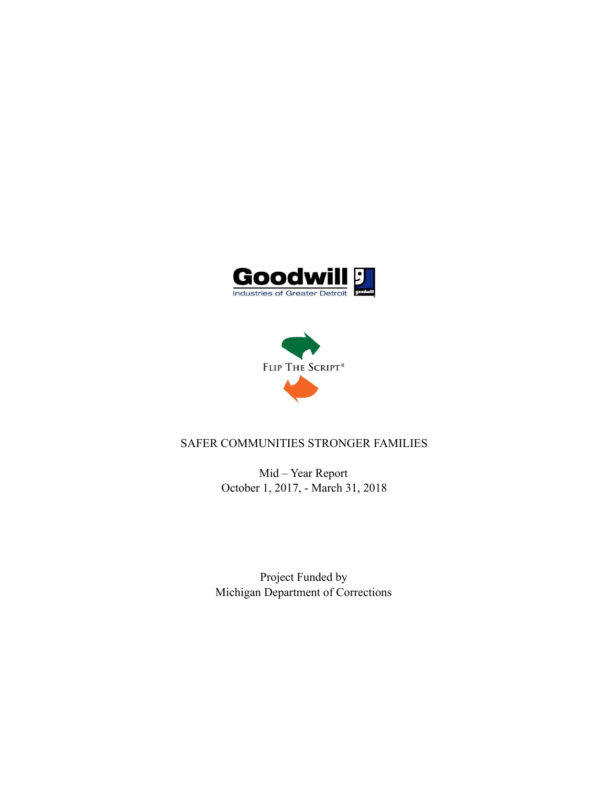



# SAFER COMMUNITIES STRONGER FAMILIES

Mid – Year Report October 1, 2017, - March 31, 2018

Project Funded by Michigan Department of Corrections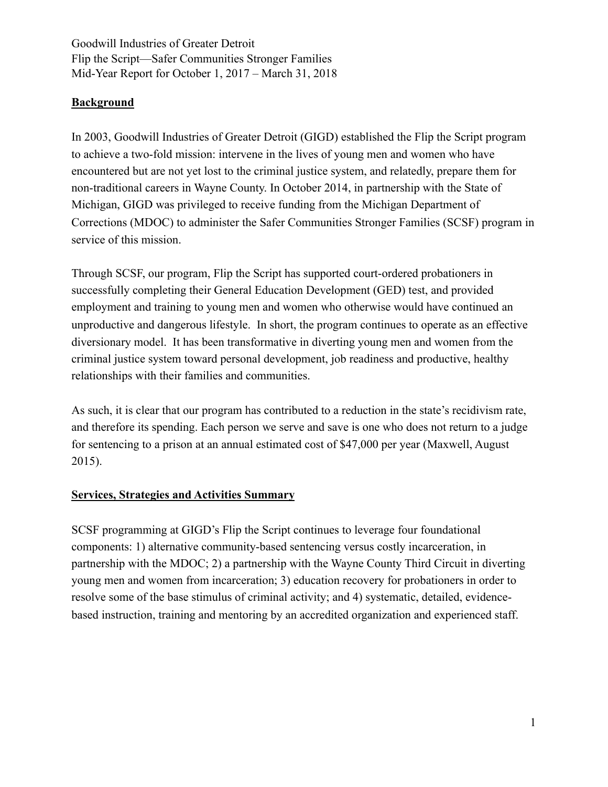## **Background**

In 2003, Goodwill Industries of Greater Detroit (GIGD) established the Flip the Script program to achieve a two-fold mission: intervene in the lives of young men and women who have encountered but are not yet lost to the criminal justice system, and relatedly, prepare them for non-traditional careers in Wayne County. In October 2014, in partnership with the State of Michigan, GIGD was privileged to receive funding from the Michigan Department of Corrections (MDOC) to administer the Safer Communities Stronger Families (SCSF) program in service of this mission.

Through SCSF, our program, Flip the Script has supported court-ordered probationers in successfully completing their General Education Development (GED) test, and provided employment and training to young men and women who otherwise would have continued an unproductive and dangerous lifestyle. In short, the program continues to operate as an effective diversionary model. It has been transformative in diverting young men and women from the criminal justice system toward personal development, job readiness and productive, healthy relationships with their families and communities.

As such, it is clear that our program has contributed to a reduction in the state's recidivism rate, and therefore its spending. Each person we serve and save is one who does not return to a judge for sentencing to a prison at an annual estimated cost of \$47,000 per year (Maxwell, August 2015).

## **Services, Strategies and Activities Summary**

SCSF programming at GIGD's Flip the Script continues to leverage four foundational components: 1) alternative community-based sentencing versus costly incarceration, in partnership with the MDOC; 2) a partnership with the Wayne County Third Circuit in diverting young men and women from incarceration; 3) education recovery for probationers in order to resolve some of the base stimulus of criminal activity; and 4) systematic, detailed, evidencebased instruction, training and mentoring by an accredited organization and experienced staff.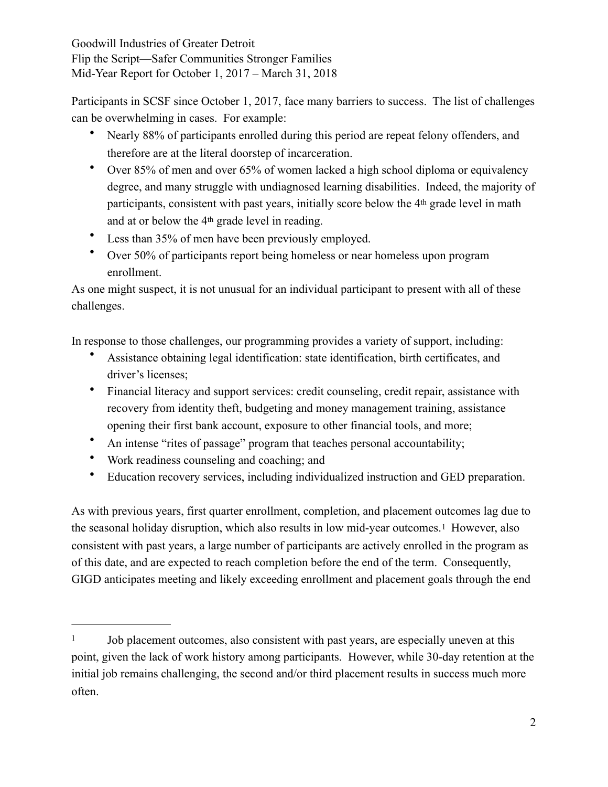Participants in SCSF since October 1, 2017, face many barriers to success. The list of challenges can be overwhelming in cases. For example:

- Nearly 88% of participants enrolled during this period are repeat felony offenders, and therefore are at the literal doorstep of incarceration.
- Over 85% of men and over 65% of women lacked a high school diploma or equivalency degree, and many struggle with undiagnosed learning disabilities. Indeed, the majority of participants, consistent with past years, initially score below the 4th grade level in math and at or below the 4th grade level in reading.
- Less than 35% of men have been previously employed.
- Over 50% of participants report being homeless or near homeless upon program enrollment.

As one might suspect, it is not unusual for an individual participant to present with all of these challenges.

In response to those challenges, our programming provides a variety of support, including:

- Assistance obtaining legal identification: state identification, birth certificates, and driver's licenses;
- Financial literacy and support services: credit counseling, credit repair, assistance with recovery from identity theft, budgeting and money management training, assistance opening their first bank account, exposure to other financial tools, and more;
- An intense "rites of passage" program that teaches personal accountability;
- Work readiness counseling and coaching; and
- <span id="page-2-1"></span>• Education recovery services, including individualized instruction and GED preparation.

As with previous years, first quarter enrollment, completion, and placement outcomes lag due to the seasonal holiday disruption, which also results in low mid-year outcomes.[1](#page-2-0) However, also consistent with past years, a large number of participants are actively enrolled in the program as of this date, and are expected to reach completion before the end of the term. Consequently, GIGD anticipates meeting and likely exceeding enrollment and placement goals through the end

<span id="page-2-0"></span><sup>&</sup>lt;sup>[1](#page-2-1)</sup> Job placement outcomes, also consistent with past years, are especially uneven at this point, given the lack of work history among participants. However, while 30-day retention at the initial job remains challenging, the second and/or third placement results in success much more often.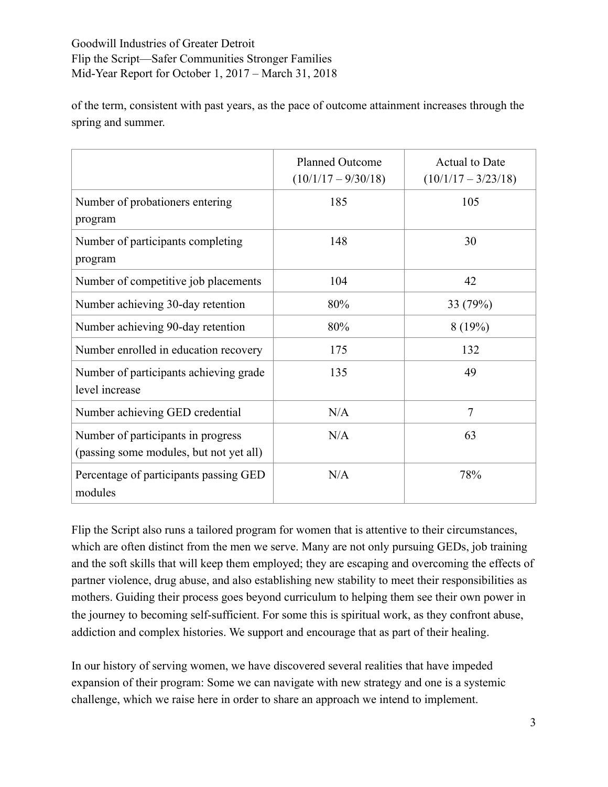of the term, consistent with past years, as the pace of outcome attainment increases through the spring and summer.

|                                                                               | <b>Planned Outcome</b><br>$(10/1/17 - 9/30/18)$ | <b>Actual to Date</b><br>$(10/1/17 - 3/23/18)$ |
|-------------------------------------------------------------------------------|-------------------------------------------------|------------------------------------------------|
| Number of probationers entering<br>program                                    | 185                                             | 105                                            |
| Number of participants completing<br>program                                  | 148                                             | 30                                             |
| Number of competitive job placements                                          | 104                                             | 42                                             |
| Number achieving 30-day retention                                             | 80%                                             | 33 (79%)                                       |
| Number achieving 90-day retention                                             | 80%                                             | 8(19%)                                         |
| Number enrolled in education recovery                                         | 175                                             | 132                                            |
| Number of participants achieving grade<br>level increase                      | 135                                             | 49                                             |
| Number achieving GED credential                                               | N/A                                             | $\overline{7}$                                 |
| Number of participants in progress<br>(passing some modules, but not yet all) | N/A                                             | 63                                             |
| Percentage of participants passing GED<br>modules                             | N/A                                             | 78%                                            |

Flip the Script also runs a tailored program for women that is attentive to their circumstances, which are often distinct from the men we serve. Many are not only pursuing GEDs, job training and the soft skills that will keep them employed; they are escaping and overcoming the effects of partner violence, drug abuse, and also establishing new stability to meet their responsibilities as mothers. Guiding their process goes beyond curriculum to helping them see their own power in the journey to becoming self-sufficient. For some this is spiritual work, as they confront abuse, addiction and complex histories. We support and encourage that as part of their healing.

In our history of serving women, we have discovered several realities that have impeded expansion of their program: Some we can navigate with new strategy and one is a systemic challenge, which we raise here in order to share an approach we intend to implement.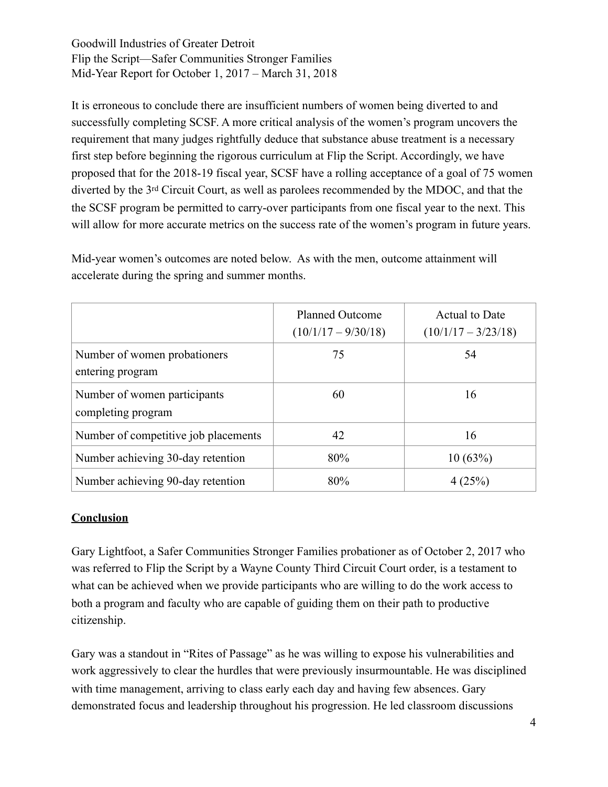It is erroneous to conclude there are insufficient numbers of women being diverted to and successfully completing SCSF. A more critical analysis of the women's program uncovers the requirement that many judges rightfully deduce that substance abuse treatment is a necessary first step before beginning the rigorous curriculum at Flip the Script. Accordingly, we have proposed that for the 2018-19 fiscal year, SCSF have a rolling acceptance of a goal of 75 women diverted by the 3rd Circuit Court, as well as parolees recommended by the MDOC, and that the the SCSF program be permitted to carry-over participants from one fiscal year to the next. This will allow for more accurate metrics on the success rate of the women's program in future years.

Mid-year women's outcomes are noted below. As with the men, outcome attainment will accelerate during the spring and summer months.

|                                                    | <b>Planned Outcome</b><br>$(10/1/17 - 9/30/18)$ | <b>Actual to Date</b><br>$(10/1/17 - 3/23/18)$ |
|----------------------------------------------------|-------------------------------------------------|------------------------------------------------|
| Number of women probationers<br>entering program   | 75                                              | 54                                             |
| Number of women participants<br>completing program | 60                                              | 16                                             |
| Number of competitive job placements               | 42                                              | 16                                             |
| Number achieving 30-day retention                  | 80%                                             | 10(63%)                                        |
| Number achieving 90-day retention                  | 80%                                             | 4(25%)                                         |

## **Conclusion**

Gary Lightfoot, a Safer Communities Stronger Families probationer as of October 2, 2017 who was referred to Flip the Script by a Wayne County Third Circuit Court order, is a testament to what can be achieved when we provide participants who are willing to do the work access to both a program and faculty who are capable of guiding them on their path to productive citizenship.

Gary was a standout in "Rites of Passage" as he was willing to expose his vulnerabilities and work aggressively to clear the hurdles that were previously insurmountable. He was disciplined with time management, arriving to class early each day and having few absences. Gary demonstrated focus and leadership throughout his progression. He led classroom discussions